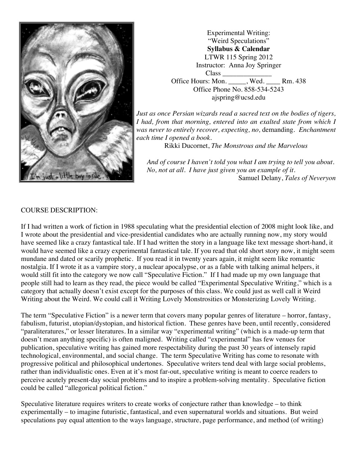

Experimental Writing: "Weird Speculations" **Syllabus & Calendar** LTWR 115 Spring 2012 Instructor: Anna Joy Springer Class \_\_\_\_\_\_\_\_\_\_\_\_\_\_ Office Hours: Mon. Wed. Rm. 438 Office Phone No. 858-534-5243 ajspring@ucsd.edu

*Just as once Persian wizards read a sacred text on the bodies of tigers, I had, from that morning, entered into an exalted state from which I was never to entirely recover, expecting, no,* demanding. *Enchantment each time I opened a book.*

Rikki Ducornet, *The Monstrous and the Marvelous*

*And of course I haven't told you what I am trying to tell you about. No, not at all. I have just given you an example of it.* Samuel Delany, *Tales of Neveryon*

#### COURSE DESCRIPTION:

If I had written a work of fiction in 1988 speculating what the presidential election of 2008 might look like, and I wrote about the presidential and vice-presidential candidates who are actually running now, my story would have seemed like a crazy fantastical tale. If I had written the story in a language like text message short-hand, it would have seemed like a crazy experimental fantastical tale. If you read that old short story now, it might seem mundane and dated or scarily prophetic. If you read it in twenty years again, it might seem like romantic nostalgia. If I wrote it as a vampire story, a nuclear apocalypse, or as a fable with talking animal helpers, it would still fit into the category we now call "Speculative Fiction." If I had made up my own language that people still had to learn as they read, the piece would be called "Experimental Speculative Writing," which is a category that actually doesn't exist except for the purposes of this class. We could just as well call it Weird Writing about the Weird. We could call it Writing Lovely Monstrosities or Monsterizing Lovely Writing.

The term "Speculative Fiction" is a newer term that covers many popular genres of literature – horror, fantasy, fabulism, futurist, utopian/dystopian, and historical fiction. These genres have been, until recently, considered "paraliteratures," or lesser literatures. In a similar way "experimental writing" (which is a made-up term that doesn't mean anything specific) is often maligned. Writing called "experimental" has few venues for publication, speculative writing has gained more respectability during the past 30 years of intensely rapid technological, environmental, and social change. The term Speculative Writing has come to resonate with progressive political and philosophical undertones. Speculative writers tend deal with large social problems, rather than individualistic ones. Even at it's most far-out, speculative writing is meant to coerce readers to perceive acutely present-day social problems and to inspire a problem-solving mentality. Speculative fiction could be called "allegorical political fiction."

Speculative literature requires writers to create works of conjecture rather than knowledge – to think experimentally – to imagine futuristic, fantastical, and even supernatural worlds and situations. But weird speculations pay equal attention to the ways language, structure, page performance, and method (of writing)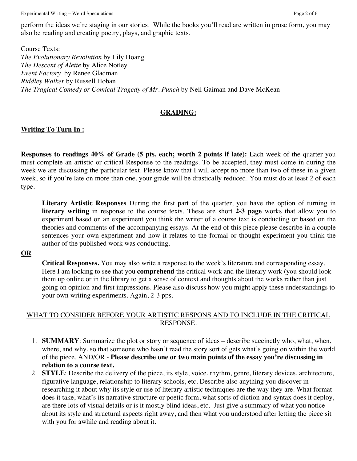Experimental Writing – Weird Speculations **Page 2** of 6

perform the ideas we're staging in our stories. While the books you'll read are written in prose form, you may also be reading and creating poetry, plays, and graphic texts.

Course Texts: *The Evolutionary Revolution* by Lily Hoang *The Descent of Alette* by Alice Notley *Event Factory* by Renee Gladman *Riddley Walker* by Russell Hoban *The Tragical Comedy or Comical Tragedy of Mr. Punch* by Neil Gaiman and Dave McKean

#### **GRADING:**

### **Writing To Turn In :**

**Responses to readings 40% of Grade (5 pts. each; worth 2 points if late):** Each week of the quarter you must complete an artistic or critical Response to the readings. To be accepted, they must come in during the week we are discussing the particular text. Please know that I will accept no more than two of these in a given week, so if you're late on more than one, your grade will be drastically reduced. You must do at least 2 of each type.

**Literary Artistic Responses** During the first part of the quarter, you have the option of turning in **literary writing** in response to the course texts. These are short **2-3 page** works that allow you to experiment based on an experiment you think the writer of a course text is conducting or based on the theories and comments of the accompanying essays. At the end of this piece please describe in a couple sentences your own experiment and how it relates to the formal or thought experiment you think the author of the published work was conducting.

#### **OR**

**Critical Responses.** You may also write a response to the week's literature and corresponding essay. Here I am looking to see that you **comprehend** the critical work and the literary work (you should look them up online or in the library to get a sense of context and thoughts about the works rather than just going on opinion and first impressions. Please also discuss how you might apply these understandings to your own writing experiments. Again, 2-3 pps.

#### WHAT TO CONSIDER BEFORE YOUR ARTISTIC RESPONS AND TO INCLUDE IN THE CRITICAL RESPONSE.

- 1. **SUMMARY**: Summarize the plot or story or sequence of ideas describe succinctly who, what, when, where, and why, so that someone who hasn't read the story sort of gets what's going on within the world of the piece. AND/OR - **Please describe one or two main points of the essay you're discussing in relation to a course text.**
- 2. **STYLE**: Describe the delivery of the piece, its style, voice, rhythm, genre, literary devices, architecture, figurative language, relationship to literary schools, etc. Describe also anything you discover in researching it about why its style or use of literary artistic techniques are the way they are. What format does it take, what's its narrative structure or poetic form, what sorts of diction and syntax does it deploy, are there lots of visual details or is it mostly blind ideas, etc. Just give a summary of what you notice about its style and structural aspects right away, and then what you understood after letting the piece sit with you for awhile and reading about it.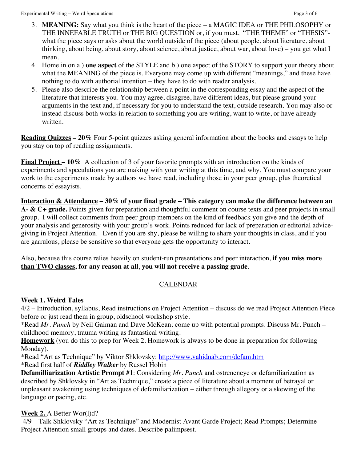- 3. **MEANING:** Say what you think is the heart of the piece a MAGIC IDEA or THE PHILOSOPHY or THE INNEFABLE TRUTH or THE BIG QUESTION or, if you must, "THE THEME" or "THESIS" what the piece says or asks about the world outside of the piece (about people, about literature, about thinking, about being, about story, about science, about justice, about war, about love) – you get what I mean.
- 4. Home in on a.) **one aspect** of the STYLE and b.) one aspect of the STORY to support your theory about what the MEANING of the piece is. Everyone may come up with different "meanings," and these have nothing to do with authorial intention – they have to do with reader analysis.
- 5. Please also describe the relationship between a point in the corresponding essay and the aspect of the literature that interests you. You may agree, disagree, have different ideas, but please ground your arguments in the text and, if necessary for you to understand the text, outside research. You may also or instead discuss both works in relation to something you are writing, want to write, or have already written.

**Reading Quizzes – 20%** Four 5-point quizzes asking general information about the books and essays to help you stay on top of reading assignments.

**Final Project – 10%** A collection of 3 of your favorite prompts with an introduction on the kinds of experiments and speculations you are making with your writing at this time, and why. You must compare your work to the experiments made by authors we have read, including those in your peer group, plus theoretical concerns of essayists.

**Interaction & Attendance – 30% of your final grade – This category can make the difference between an A- & C+ grade.** Points given for preparation and thoughtful comment on course texts and peer projects in small group. I will collect comments from peer group members on the kind of feedback you give and the depth of your analysis and generosity with your group's work. Points reduced for lack of preparation or editorial advicegiving in Project Attention. Even if you are shy, please be willing to share your thoughts in class, and if you are garrulous, please be sensitive so that everyone gets the opportunity to interact.

Also, because this course relies heavily on student-run presentations and peer interaction, **if you miss more than TWO classes, for any reason at all**, **you will not receive a passing grade**.

### CALENDAR

### **Week 1. Weird Tales**

4/2 – Introduction, syllabus, Read instructions on Project Attention – discuss do we read Project Attention Piece before or just read them in group, oldschool workshop style.

\*Read *Mr. Punch* by Neil Gaiman and Dave McKean; come up with potential prompts. Discuss Mr. Punch – childhood memory, trauma writing as fantastical writing.

**Homework** (you do this to prep for Week 2. Homework is always to be done in preparation for following Monday).

\*Read "Art as Technique" by Viktor Shklovsky: http://www.vahidnab.com/defam.htm

\*Read first half of *Riddley Walker* by Russel Hobin

**Defamilliarization Artistic Prompt #1**: Considering *Mr. Punch* and ostreneneye or defamiliarization as described by Shklovsky in "Art as Technique," create a piece of literature about a moment of betrayal or unpleasant awakening using techniques of defamiliarization – either through allegory or a skewing of the language or pacing, etc.

### **Week 2.** A Better Wor(l)d?

 4/9 – Talk Shklovsky "Art as Technique" and Modernist Avant Garde Project; Read Prompts; Determine Project Attention small groups and dates. Describe palimpsest.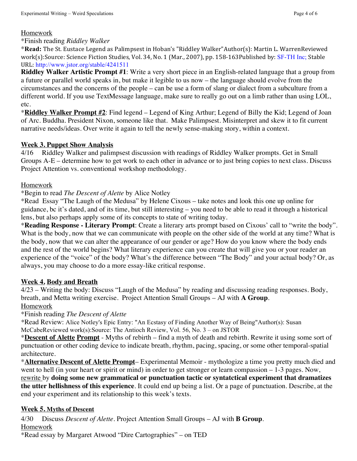#### Homework

#### \*Finish reading *Riddley Walker*

\***Read:** The St. Eustace Legend as Palimpsest in Hoban's "Riddley Walker"Author(s): Martin L. WarrenReviewed work(s):Source: Science Fiction Studies, Vol. 34, No. 1 (Mar., 2007), pp. 158-163Published by: SF-TH Inc; Stable URL: http://www.jstor.org/stable/4241511

**Riddley Walker Artistic Prompt #1**: Write a very short piece in an English-related language that a group from a future or parallel world speaks in, but make it legible to us now – the language should evolve from the circumstances and the concerns of the people – can be use a form of slang or dialect from a subculture from a different world. If you use TextMessage language, make sure to really go out on a limb rather than using LOL, etc.

\***Riddley Walker Prompt #2**: Find legend – Legend of King Arthur; Legend of Billy the Kid; Legend of Joan of Arc. Buddha. President Nixon, someone like that. Make Palimpsest. Misinterpret and skew it to fit current narrative needs/ideas. Over write it again to tell the newly sense-making story, within a context.

#### **Week 3. Puppet Show Analysis**

4/16 Riddley Walker and palimpsest discussion with readings of Riddley Walker prompts. Get in Small Groups A-E – determine how to get work to each other in advance or to just bring copies to next class. Discuss Project Attention vs. conventional workshop methodology.

#### Homework

#### \*Begin to read *The Descent of Alette* by Alice Notley

\*Read Essay "The Laugh of the Medusa" by Helene Cixous – take notes and look this one up online for guidance, bc it's dated, and of its time, but still interesting – you need to be able to read it through a historical lens, but also perhaps apply some of its concepts to state of writing today.

\***Reading Response - Literary Prompt**: Create a literary arts prompt based on Cixous' call to "write the body". What is the body, now that we can communicate with people on the other side of the world at any time? What is the body, now that we can alter the appearance of our gender or age? How do you know where the body ends and the rest of the world begins? What literary experience can you create that will give you or your reader an experience of the "voice" of the body? What's the difference between "The Body" and your actual body? Or, as always, you may choose to do a more essay-like critical response.

#### **Week 4. Body and Breath**

4/23 – Writing the body: Discuss "Laugh of the Medusa" by reading and discussing reading responses. Body, breath, and Metta writing exercise. Project Attention Small Groups – AJ with **A Group**. Homework

\*Finish reading *The Descent of Alette*

*\**Read Review: Alice Notley's Epic Entry: "An Ecstasy of Finding Another Way of Being"Author(s): Susan McCabeReviewed work(s):Source: The Antioch Review, Vol. 56, No. 3 – on JSTOR

\***Descent of Alette Prompt** - Myths of rebirth – find a myth of death and rebirth. Rewrite it using some sort of punctuation or other coding device to indicate breath, rhythm, pacing, spacing, or some other temporal-spatial architecture.

\***Alternative Descent of Alette Prompt**– Experimental Memoir - mythologize a time you pretty much died and went to hell (in your heart or spirit or mind) in order to get stronger or learn compassion – 1-3 pages. Now,

rewrite by **doing some new grammatical or punctuation tactic or syntatctical experiment that dramatizes the utter hellishness of this experience**. It could end up being a list. Or a page of punctuation. Describe, at the end your experiment and its relationship to this week's texts.

#### **Week 5. Myths of Descent**

4/30 Discuss *Descent of Alette*. Project Attention Small Groups – AJ with **B Group**. Homework

\*Read essay by Margaret Atwood "Dire Cartographies" – on TED